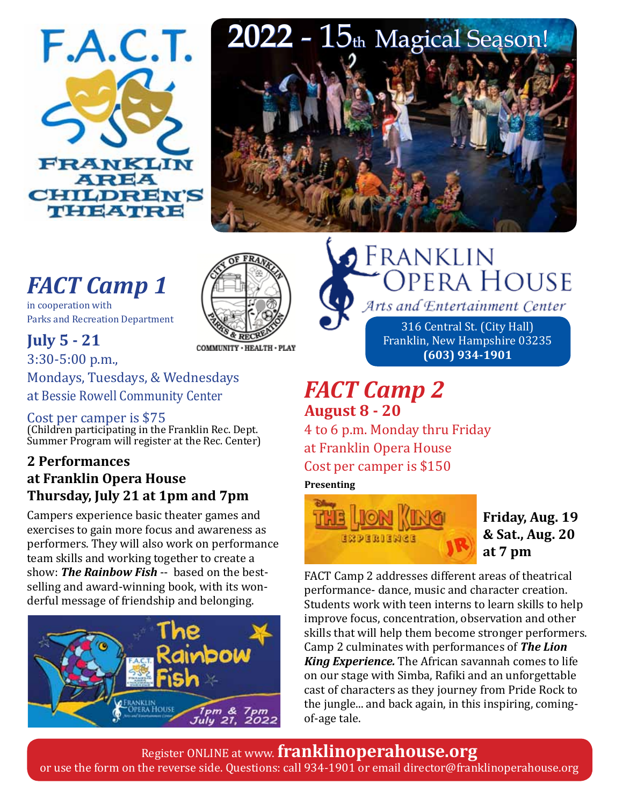

# *FACT Camp 1*

in cooperation with Parks and Recreation Department



### **July 5 - 21**

3:30-5:00 p.m., Mondays, Tuesdays, & Wednesdays at Bessie Rowell Community Center

### Cost per camper is \$75

(Children participating in the Franklin Rec. Dept. Summer Program will register at the Rec. Center)

### **2 Performances at Franklin Opera House Thursday, July 21 at 1pm and 7pm**

Campers experience basic theater games and exercises to gain more focus and awareness as performers. They will also work on performance team skills and working together to create a show: *The Rainbow Fish* -- based on the bestselling and award-winning book, with its wonderful message of friendship and belonging.





## **S** Franklin **OPERA HOUSE** Arts and Entertainment Center

316 Central St. (City Hall) Franklin, New Hampshire 03235 **(603) 934-1901**

### *FACT Camp 2*  **August 8 - 20**

4 to 6 p.m. Monday thru Friday at Franklin Opera House Cost per camper is \$150

#### **Presenting**



**Friday, Aug. 19 & Sat., Aug. 20 at 7 pm**

FACT Camp 2 addresses different areas of theatrical performance- dance, music and character creation. Students work with teen interns to learn skills to help improve focus, concentration, observation and other skills that will help them become stronger performers. Camp 2 culminates with performances of *The Lion King Experience.* The African savannah comes to life on our stage with Simba, Rafiki and an unforgettable cast of characters as they journey from Pride Rock to the jungle... and back again, in this inspiring, comingof-age tale.

Register ONLINE at www. **franklinoperahouse.org** or use the form on the reverse side. Questions: call 934-1901 or email director@franklinoperahouse.org